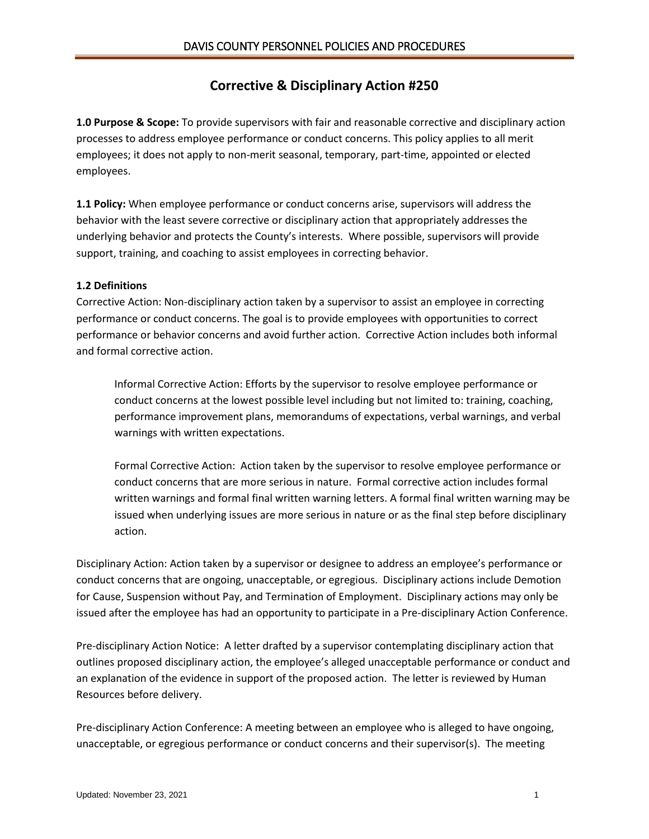# **Corrective & Disciplinary Action #250**

**1.0 Purpose & Scope:** To provide supervisors with fair and reasonable corrective and disciplinary action processes to address employee performance or conduct concerns. This policy applies to all merit employees; it does not apply to non-merit seasonal, temporary, part-time, appointed or elected employees.

**1.1 Policy:** When employee performance or conduct concerns arise, supervisors will address the behavior with the least severe corrective or disciplinary action that appropriately addresses the underlying behavior and protects the County's interests. Where possible, supervisors will provide support, training, and coaching to assist employees in correcting behavior.

#### **1.2 Definitions**

Corrective Action: Non-disciplinary action taken by a supervisor to assist an employee in correcting performance or conduct concerns. The goal is to provide employees with opportunities to correct performance or behavior concerns and avoid further action. Corrective Action includes both informal and formal corrective action.

Informal Corrective Action: Efforts by the supervisor to resolve employee performance or conduct concerns at the lowest possible level including but not limited to: training, coaching, performance improvement plans, memorandums of expectations, verbal warnings, and verbal warnings with written expectations.

Formal Corrective Action: Action taken by the supervisor to resolve employee performance or conduct concerns that are more serious in nature. Formal corrective action includes formal written warnings and formal final written warning letters. A formal final written warning may be issued when underlying issues are more serious in nature or as the final step before disciplinary action.

Disciplinary Action: Action taken by a supervisor or designee to address an employee's performance or conduct concerns that are ongoing, unacceptable, or egregious. Disciplinary actions include Demotion for Cause, Suspension without Pay, and Termination of Employment. Disciplinary actions may only be issued after the employee has had an opportunity to participate in a Pre-disciplinary Action Conference.

Pre-disciplinary Action Notice: A letter drafted by a supervisor contemplating disciplinary action that outlines proposed disciplinary action, the employee's alleged unacceptable performance or conduct and an explanation of the evidence in support of the proposed action. The letter is reviewed by Human Resources before delivery.

Pre-disciplinary Action Conference: A meeting between an employee who is alleged to have ongoing, unacceptable, or egregious performance or conduct concerns and their supervisor(s). The meeting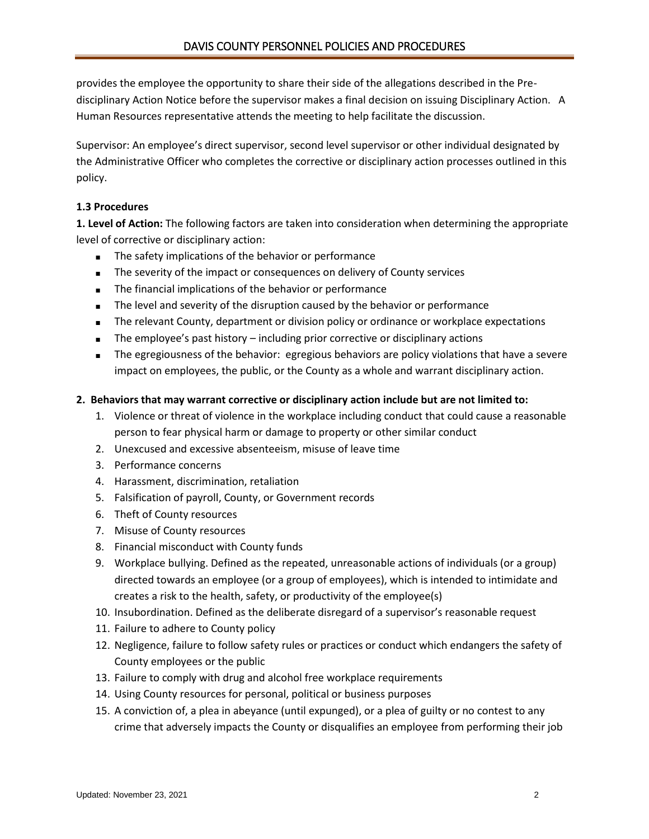provides the employee the opportunity to share their side of the allegations described in the Predisciplinary Action Notice before the supervisor makes a final decision on issuing Disciplinary Action. A Human Resources representative attends the meeting to help facilitate the discussion.

Supervisor: An employee's direct supervisor, second level supervisor or other individual designated by the Administrative Officer who completes the corrective or disciplinary action processes outlined in this policy.

# **1.3 Procedures**

**1. Level of Action:** The following factors are taken into consideration when determining the appropriate level of corrective or disciplinary action:

- The safety implications of the behavior or performance
- The severity of the impact or consequences on delivery of County services
- The financial implications of the behavior or performance
- The level and severity of the disruption caused by the behavior or performance
- The relevant County, department or division policy or ordinance or workplace expectations
- The employee's past history including prior corrective or disciplinary actions
- The egregiousness of the behavior: egregious behaviors are policy violations that have a severe impact on employees, the public, or the County as a whole and warrant disciplinary action.

## **2. Behaviors that may warrant corrective or disciplinary action include but are not limited to:**

- 1. Violence or threat of violence in the workplace including conduct that could cause a reasonable person to fear physical harm or damage to property or other similar conduct
- 2. Unexcused and excessive absenteeism, misuse of leave time
- 3. Performance concerns
- 4. Harassment, discrimination, retaliation
- 5. Falsification of payroll, County, or Government records
- 6. Theft of County resources
- 7. Misuse of County resources
- 8. Financial misconduct with County funds
- 9. Workplace bullying. Defined as the repeated, unreasonable actions of individuals (or a group) directed towards an employee (or a group of employees), which is intended to intimidate and creates a risk to the health, safety, or productivity of the employee(s)
- 10. Insubordination. Defined as the deliberate disregard of a supervisor's reasonable request
- 11. Failure to adhere to County policy
- 12. Negligence, failure to follow safety rules or practices or conduct which endangers the safety of County employees or the public
- 13. Failure to comply with drug and alcohol free workplace requirements
- 14. Using County resources for personal, political or business purposes
- 15. A conviction of, a plea in abeyance (until expunged), or a plea of guilty or no contest to any crime that adversely impacts the County or disqualifies an employee from performing their job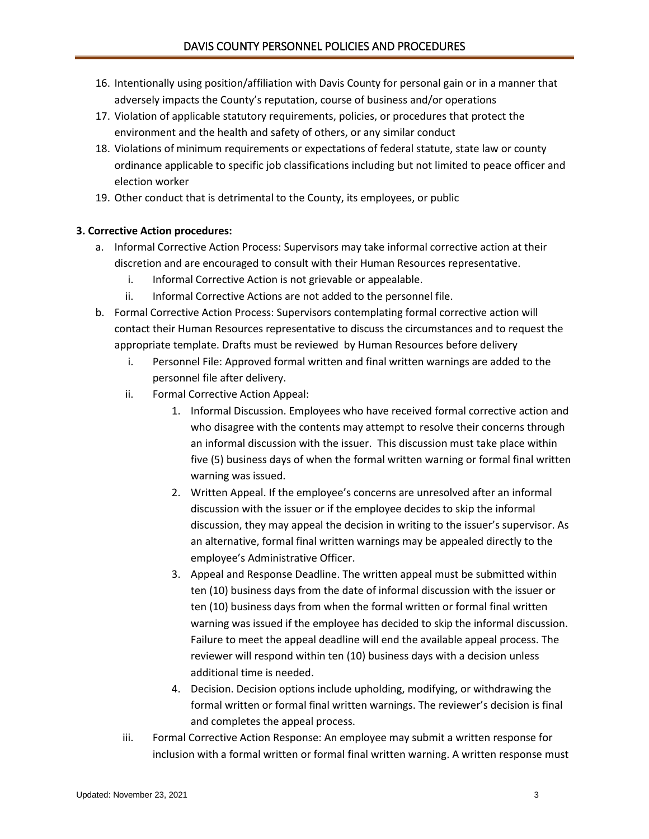- 16. Intentionally using position/affiliation with Davis County for personal gain or in a manner that adversely impacts the County's reputation, course of business and/or operations
- 17. Violation of applicable statutory requirements, policies, or procedures that protect the environment and the health and safety of others, or any similar conduct
- 18. Violations of minimum requirements or expectations of federal statute, state law or county ordinance applicable to specific job classifications including but not limited to peace officer and election worker
- 19. Other conduct that is detrimental to the County, its employees, or public

#### **3. Corrective Action procedures:**

- a. Informal Corrective Action Process: Supervisors may take informal corrective action at their discretion and are encouraged to consult with their Human Resources representative.
	- i. Informal Corrective Action is not grievable or appealable.
	- ii. Informal Corrective Actions are not added to the personnel file.
- b. Formal Corrective Action Process: Supervisors contemplating formal corrective action will contact their Human Resources representative to discuss the circumstances and to request the appropriate template. Drafts must be reviewed by Human Resources before delivery
	- i. Personnel File: Approved formal written and final written warnings are added to the personnel file after delivery.
	- ii. Formal Corrective Action Appeal:
		- 1. Informal Discussion. Employees who have received formal corrective action and who disagree with the contents may attempt to resolve their concerns through an informal discussion with the issuer. This discussion must take place within five (5) business days of when the formal written warning or formal final written warning was issued.
		- 2. Written Appeal. If the employee's concerns are unresolved after an informal discussion with the issuer or if the employee decides to skip the informal discussion, they may appeal the decision in writing to the issuer's supervisor. As an alternative, formal final written warnings may be appealed directly to the employee's Administrative Officer.
		- 3. Appeal and Response Deadline. The written appeal must be submitted within ten (10) business days from the date of informal discussion with the issuer or ten (10) business days from when the formal written or formal final written warning was issued if the employee has decided to skip the informal discussion. Failure to meet the appeal deadline will end the available appeal process. The reviewer will respond within ten (10) business days with a decision unless additional time is needed.
		- 4. Decision. Decision options include upholding, modifying, or withdrawing the formal written or formal final written warnings. The reviewer's decision is final and completes the appeal process.
	- iii. Formal Corrective Action Response: An employee may submit a written response for inclusion with a formal written or formal final written warning. A written response must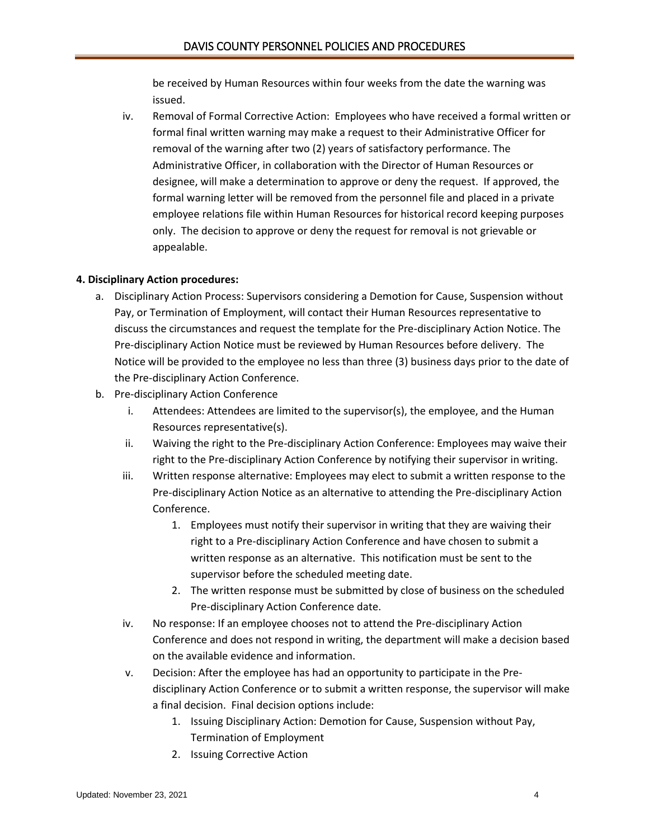be received by Human Resources within four weeks from the date the warning was issued.

iv. Removal of Formal Corrective Action: Employees who have received a formal written or formal final written warning may make a request to their Administrative Officer for removal of the warning after two (2) years of satisfactory performance. The Administrative Officer, in collaboration with the Director of Human Resources or designee, will make a determination to approve or deny the request. If approved, the formal warning letter will be removed from the personnel file and placed in a private employee relations file within Human Resources for historical record keeping purposes only. The decision to approve or deny the request for removal is not grievable or appealable.

#### **4. Disciplinary Action procedures:**

- a. Disciplinary Action Process: Supervisors considering a Demotion for Cause, Suspension without Pay, or Termination of Employment, will contact their Human Resources representative to discuss the circumstances and request the template for the Pre-disciplinary Action Notice. The Pre-disciplinary Action Notice must be reviewed by Human Resources before delivery. The Notice will be provided to the employee no less than three (3) business days prior to the date of the Pre-disciplinary Action Conference.
- b. Pre-disciplinary Action Conference
	- i. Attendees: Attendees are limited to the supervisor(s), the employee, and the Human Resources representative(s).
	- ii. Waiving the right to the Pre-disciplinary Action Conference: Employees may waive their right to the Pre-disciplinary Action Conference by notifying their supervisor in writing.
	- iii. Written response alternative: Employees may elect to submit a written response to the Pre-disciplinary Action Notice as an alternative to attending the Pre-disciplinary Action Conference.
		- 1. Employees must notify their supervisor in writing that they are waiving their right to a Pre-disciplinary Action Conference and have chosen to submit a written response as an alternative. This notification must be sent to the supervisor before the scheduled meeting date.
		- 2. The written response must be submitted by close of business on the scheduled Pre-disciplinary Action Conference date.
	- iv. No response: If an employee chooses not to attend the Pre-disciplinary Action Conference and does not respond in writing, the department will make a decision based on the available evidence and information.
	- v. Decision: After the employee has had an opportunity to participate in the Predisciplinary Action Conference or to submit a written response, the supervisor will make a final decision. Final decision options include:
		- 1. Issuing Disciplinary Action: Demotion for Cause, Suspension without Pay, Termination of Employment
		- 2. Issuing Corrective Action